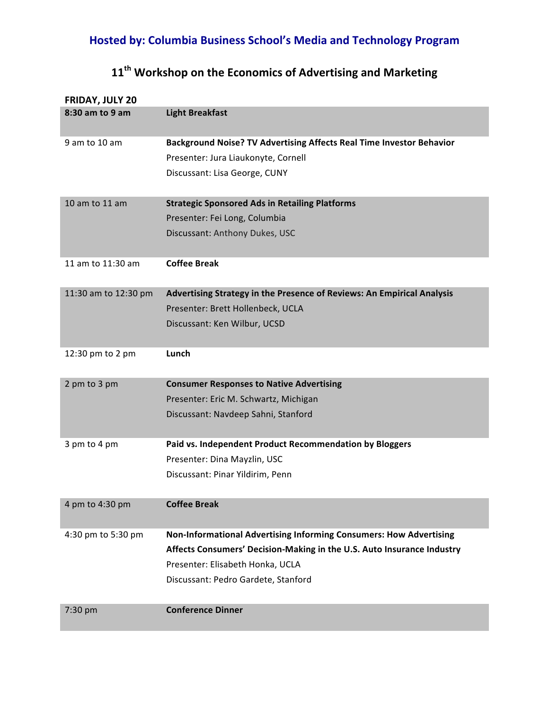## **Hosted by: Columbia Business School's Media and Technology Program**

## **11th Workshop on the Economics of Advertising and Marketing**

| <b>FRIDAY, JULY 20</b> |                                                                             |
|------------------------|-----------------------------------------------------------------------------|
| 8:30 am to 9 am        | <b>Light Breakfast</b>                                                      |
| 9 am to 10 am          | <b>Background Noise? TV Advertising Affects Real Time Investor Behavior</b> |
|                        | Presenter: Jura Liaukonyte, Cornell                                         |
|                        | Discussant: Lisa George, CUNY                                               |
| 10 am to 11 am         | <b>Strategic Sponsored Ads in Retailing Platforms</b>                       |
|                        | Presenter: Fei Long, Columbia                                               |
|                        | Discussant: Anthony Dukes, USC                                              |
| 11 am to 11:30 am      | <b>Coffee Break</b>                                                         |
| 11:30 am to 12:30 pm   | Advertising Strategy in the Presence of Reviews: An Empirical Analysis      |
|                        | Presenter: Brett Hollenbeck, UCLA                                           |
|                        | Discussant: Ken Wilbur, UCSD                                                |
| 12:30 pm to 2 pm       | Lunch                                                                       |
| 2 pm to 3 pm           | <b>Consumer Responses to Native Advertising</b>                             |
|                        | Presenter: Eric M. Schwartz, Michigan                                       |
|                        | Discussant: Navdeep Sahni, Stanford                                         |
| 3 pm to 4 pm           | Paid vs. Independent Product Recommendation by Bloggers                     |
|                        | Presenter: Dina Mayzlin, USC                                                |
|                        | Discussant: Pinar Yildirim, Penn                                            |
| 4 pm to 4:30 pm        | <b>Coffee Break</b>                                                         |
| 4:30 pm to 5:30 pm     | Non-Informational Advertising Informing Consumers: How Advertising          |
|                        | Affects Consumers' Decision-Making in the U.S. Auto Insurance Industry      |
|                        | Presenter: Elisabeth Honka, UCLA                                            |
|                        | Discussant: Pedro Gardete, Stanford                                         |
| 7:30 pm                | <b>Conference Dinner</b>                                                    |